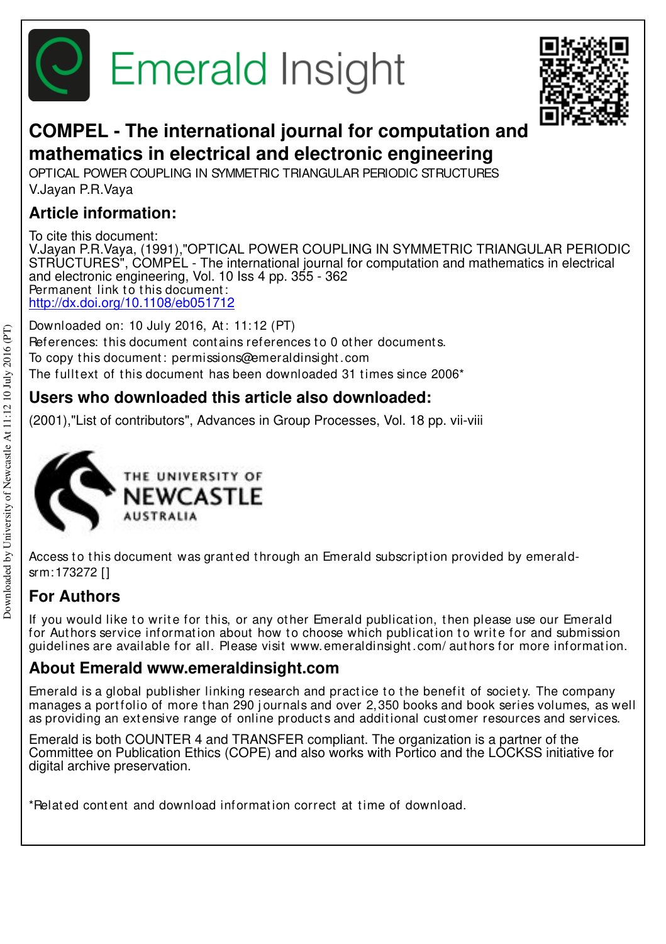



# **COMPEL - The international journal for computation and mathematics in electrical and electronic engineering**

OPTICAL POWER COUPLING IN SYMMETRIC TRIANGULAR PERIODIC STRUCTURES V.Jayan P.R.Vaya

### **Article information:**

To cite this document: V.Jayan P.R.Vaya, (1991),"OPTICAL POWER COUPLING IN SYMMETRIC TRIANGULAR PERIODIC STRUCTURES", COMPEL - The international journal for computation and mathematics in electrical and electronic engineering, Vol. 10 Iss 4 pp. 355 - 362 Permanent link to this document: http://dx.doi.org/10.1108/eb051712

Downloaded on: 10 July 2016, At: 11:12 (PT) References: this document contains references to 0 other documents. To copy t his document : permissions@emeraldinsight .com The fulltext of this document has been downloaded  $31$  times since  $2006<sup>*</sup>$ 

### **Users who downloaded this article also downloaded:**

(2001),"List of contributors", Advances in Group Processes, Vol. 18 pp. vii-viii



Access to this document was granted through an Emerald subscription provided by emeraldsrm:173272 []

## **For Authors**

If you would like to write for this, or any other Emerald publication, then please use our Emerald for Authors service information about how to choose which publication to write for and submission guidelines are available for all. Please visit www.emeraldinsight .com/ aut hors for more informat ion.

### **About Emerald www.emeraldinsight.com**

Emerald is a global publisher linking research and practice to the benefit of society. The company manages a portfolio of more than 290 journals and over 2,350 books and book series volumes, as well as providing an extensive range of online products and additional customer resources and services.

Emerald is both COUNTER 4 and TRANSFER compliant. The organization is a partner of the Committee on Publication Ethics (COPE) and also works with Portico and the LOCKSS initiative for digital archive preservation.

\*Related content and download information correct at time of download.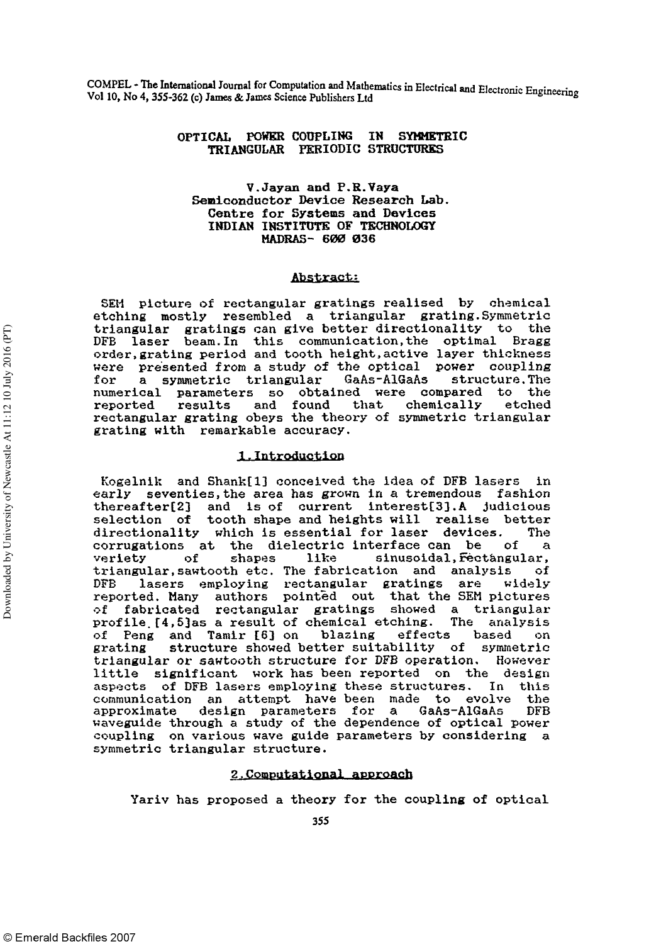COMPEL - The International Journal for Computation and Mathematics in Electrical and Electronic Engineering Vol 10, No 4, 355-362 (c) James & James Science Publishers Ltd

#### OPTICAL POWER COUPLING IN SYMMETRIC TRIANGULAR PERIODIC STRUCTURES

#### V.Jayan and P.R.Vaya Semiconductor Device Research Lab. Centre for Systems and Devices INDIAN INSTITUTE OF TECHNOLOGY MADRAS- 600 036

#### Abstract:

SEM picture of rectangular gratings realised by chemical etching mostly resembled a triangular grating. Symmetric triangular gratings can give better directionality DFB laser beam. In this communication,the optimal Bragg order,grating period and tooth height,active layer thickness were presented from a study of the optical power coupling for a symmetric triangular GaAs-AlGaAs structure. The numerical parameters so obtained were compared to the reported results and found that chemically etched rectangular grating obeys the theory of symmetric triangular grating with remarkable accuracy.

#### 1.Introduction

Kogelnik and Shank[l] conceived the idea of DFB lasers in early seventies, the area has grown in a tremendous thereafter[2] and is of current interest[3].A judicious selection of tooth shape and heights will realise better directionality which is essential for laser devices. The corrugations at the dielectric interface can be of a veriety of shapes like sinusoidal, Fectangular, triangular,sawtooth etc. The fabrication and analysis of DFB lasers employing rectangular gratings are widely reported. Many authors pointed out that the SEM pictures of fabricated rectangular gratings showed a triangularprofile. [4,5]as a result of chemical etching. The analysis of Peng and Tamir [6] on blazing effects based on grating structure showed better suitability of symmetric triangular or sawtooth structure for DFB operation. However little significant work has been reported on the design aspects of DFB lasers employing these structures. In this aspects of the fasers employing these stractures. In this<br>communication, an attempt, have been made to evolve the communication an attempt have-been made to evolve the approximate design parameters for a GaAs-AlGaAs DFB waveguide through a study of the dependence of optical power coupling on various wave guide parameters by considering a symmetric triangular structure.

#### 2.Computational approach

Yariv has proposed a theory for the coupling of optical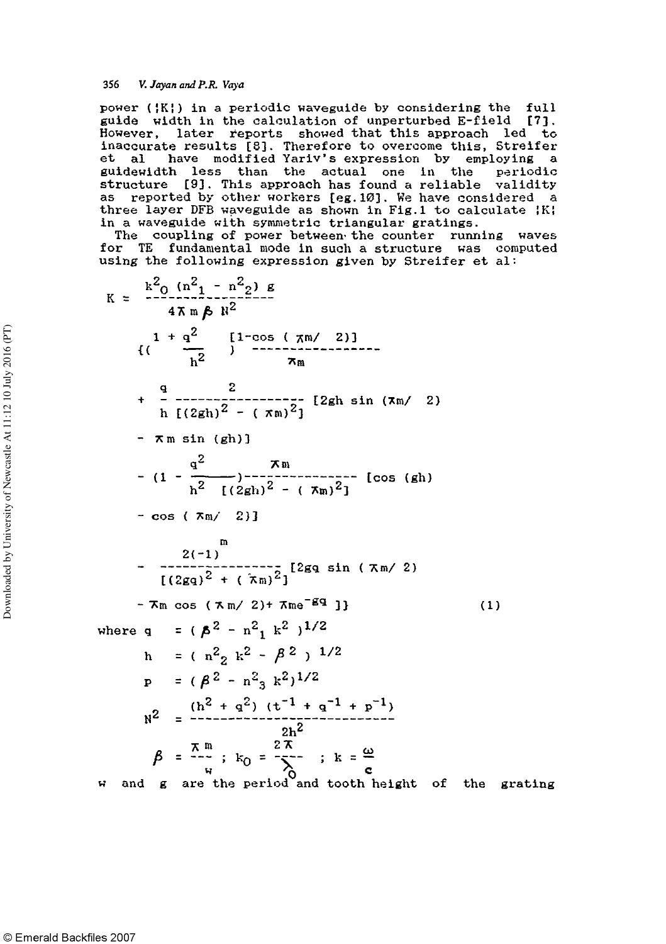356 V. Jayan and P.R. Vaya

power (¦K¦) in a periodic waveguide by considering the full guide width in the calculation of unperturbed E-field [7], However, later reports showed that this approach led to inaccurate results [8]. Therefore to overcome this, Streifer<br>et al have modified Yariv's expression by employing a have modified Yariv's expression by employing a guidewidth less than the actual one in the periodic structure [9]. This approach has found a reliable validity as reported by other workers [eg.10]. We have considered a three layer DFB waveguide as shown in Fig.1 to calculate  $|K|$ in a waveguide with symmetric triangular gratings.

The coupling of power between the counter running waves for TE fundamental mode in such a structure was computed using the following expression given by Streifer et al:

$$
K = \frac{k^{2}o(n^{2}1 - n^{2}2) \cancel{e}}{4\pi m \cancel{b} k^{2}}
$$
  
\n
$$
i \left( \frac{1 + q^{2}}{h^{2}} \right)^{1 - \cos(\pi n / 2)}
$$
  
\n
$$
+ \frac{q}{h} \frac{2}{[(2gh)^{2} - (\pi n)^{2}]} [2gh \sin(\pi n / 2)
$$
  
\n
$$
- \pi m \sin(\frac{gh}{)}]
$$
  
\n
$$
- (1 - \frac{q^{2}}{h^{2}} \frac{\pi n}{[(2gh)^{2} - (\pi n)^{2}]} [\cos(\frac{gh}{)}]
$$
  
\n
$$
- \cos(\pi n / 2)]
$$
  
\n
$$
- \frac{2(-1)}{[(2gq)^{2} + (\pi n)^{2}]} [2gq \sin(\pi n / 2)
$$
  
\n
$$
- \pi m \cos(\pi m / 2) + \pi m e^{-gq} J \}
$$
  
\n
$$
+ \pi m \cos(\pi m / 2) + \pi m e^{-gq} J \}
$$
  
\nwhere  $q = (\cancel{p^{2} - n^{2}} k^{2})^{1/2}$   
\n
$$
h = (\frac{n^{2}}{2} k^{2} - \cancel{p^{2}}) ^{1/2}
$$
  
\n
$$
p = (\cancel{p^{2} - n^{2}} k^{2})^{1/2}
$$
  
\n
$$
R^{2} = \frac{(h^{2} + q^{2}) (t^{-1} + q^{-1} + p^{-1})}{2h^{2}}
$$
  
\n
$$
\cancel{p^{2} = \frac{\pi m}{4}}; k_{0} = \frac{2\pi}{\sqrt{2}}; k = \frac{\omega}{c}
$$
  
\n
$$
m \text{ and } g \text{ are the period and tooth height of the grating}
$$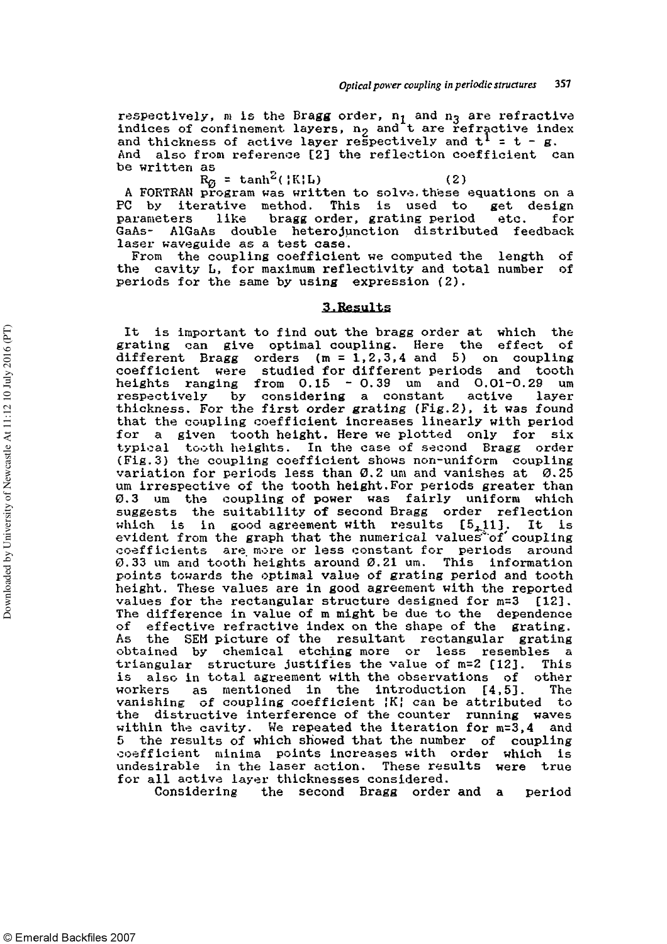respectively, m is the Bragg order,  $\mathfrak{n}_1$  and  $\mathfrak{n}_3$  are refractive indices of confinement layers,  $n_2$  and t are refractive index and thickness of active layer respectively and  $t^1 = t - g$ . And also from reference [2] the reflection coefficient can be written as

 $R_{0}$  = tanh<sup>2</sup>({K}L} (2)

A FORTRAN program was written to solve,these equations on a PC by iterative method. This is used to get design parameters like bragg order, grating period etc. for GaAs- AlGaAs double heterojunction distributed feedback laser waveguide as a test case.

From the coupling coefficient we computed the length of the cavity L, for maximum reflectivity and total number of periods for the same by using expression (2).

#### 3.Results

It is important to find out the bragg order at which the grating can give optimal coupling. Here the effect of different Bragg orders  $(m = 1, 2, 3, 4, 5)$  on coupling coefficient were studied for different periods and tooth heights ranging from  $0.15 - 0.39$  um and  $0.01 - 0.29$  um respectively by considering a constant active layer thickness. For the first order grating (Fig.2), it was found that the coupling coefficient increases linearly with period for a given tooth height. Here we plotted only for six typical tooth heights. In the case of second Bragg order (Fig.3) the coupling coefficient shows non-uniform coupling variation for periods less than 0.2 um and vanishes at 0.25 um irrespective of the tooth height. For periods greater than 0.3 um the coupling of power was fairly uniform which suggests the suitability of second Bragg order reflection which is in good agreement with results  $[5,11]$ . It is evident from the graph that the numerical values of coupling coefficients are more or less constant for periods around 0.33 um and tooth heights around 0.21 um. This information points towards the optimal value of grating period and tooth height. These values are in good agreement with the reported values for the rectangular structure designed for m=3 [123. The difference in value of m might be due to the dependence of effective refractive index on the shape of the grating. As the SEH picture of the resultant rectangular grating obtained by chemical etching more or less resembles a triangular structure justifies the value of m=2 [12]. This is also in total agreement with the observations of other workers as mentioned in the introduction [4,5]. The mentioned in the introduction [4,5]. The vanishing of coupling coefficient ¦K¦ can be attributed to vanishing of coupling coefficient the counter running waves the distructive interference of the counter running waves within the cavity. We repeated the iteration for  $m=3,4$  and the results of which showed that the number of coupling coefficient minima points increases with order which is undesirable in the laser action. These results were true<br>for all active layer thicknesses considered.

Considering the second Bragg order and a period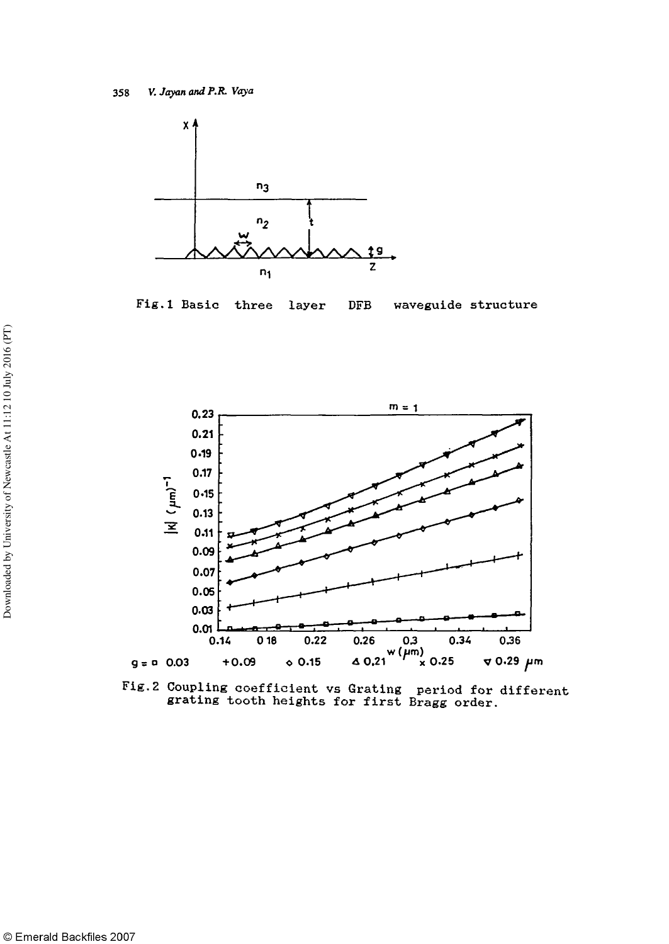

Fig.1 Basic three waveguide structure layer **DFB** 



Fig. 2 Coupling coefficient vs Grating period for different grating tooth heights for first Bragg order.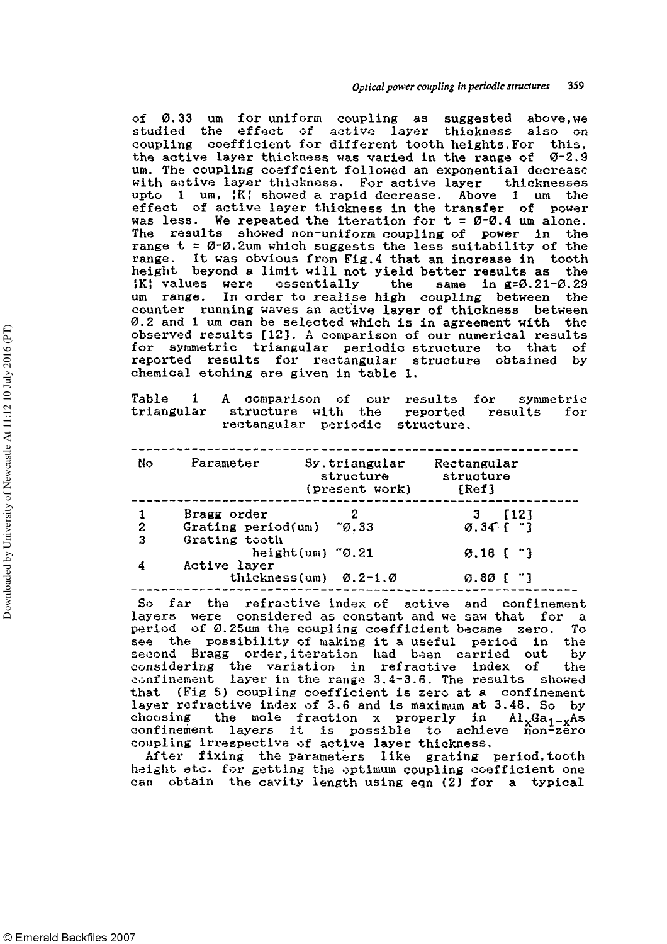of 0.33 um for uniform coupling as suggested above,we studied the effect of active layer thickness also on coupling coefficient for different tooth heights. For this, the active layer thickness was varied in the range of  $\sigma$ -2.9 um. The coupling coeffcient followed an exponential decrease with active layer thickness. For active layer thicknesses upto 1 um, {K} showed a rapid decrease. Above 1 um the effect of active layer thickness in the transfer of power was less. We repeated the iteration for  $t = \emptyset$ -0.4 um alone. The results showed non-uniform coupling of power in the range  $t = \varnothing$ - $\varnothing$ . 2um which suggests the less suitability of the range. It was obvious from Fig.4 that an increase in tooth height beyond a limit will not yield better results as the ¦K¦ values were essentially the same in g=0.21-0.29 um range. In order to realise high coupling between the counter running waves an active layer of thickness between 0.2 and 1 um can be selected which is in agreement with the observed results [123. A comparison of our numerical results for symmetric triangular periodic structure to that of reported results for rectangular structure obtained by chemical etching are given in table 1.

Table 1 A comparison of our results for symmetric structure with the reported rectangular periodic structure.

| No           | Parameter          | Sy.triangular<br>structure<br>(present work)    | Rectangular<br>structure<br>[Ref] |
|--------------|--------------------|-------------------------------------------------|-----------------------------------|
|              | Bragg order        | 2                                               | [12]                              |
| $\mathbf{2}$ | Grating period(um) | ~ø.33                                           | $0.34$ ( $"$ ]                    |
| 3            | Grating tooth      |                                                 |                                   |
|              |                    | height $(u_m)$ $\infty$ .21                     | $9.18$ [ $"$ ]                    |
|              | Active layer       |                                                 |                                   |
|              |                    | thickness(um) $\varnothing$ .2-1. $\varnothing$ | 0.80 [ "]                         |
|              |                    |                                                 |                                   |

So far the refractive index of active and confinement layers were considered as constant and we saw that for a period of 0.25um the coupling coefficient became zero. To period of 0.25um the coupling coefficient became aero. To see the possibility of making it a useful period in the second Bragg order,iteration had been carried out by considering the variation in refractive index of the confinement layer in the range 3.4-3.6. The results showed that (Fig 5) coupling coefficient is zero at a confinement layer refractive index of 3.6 and is maximum at 3.48. So by choosing the mole fraction x properly in  $\text{Al}_{x}\text{Ga}_{1-x}\text{As}$ confinement layers it is possible to achieve non-zero coupling irrespective of active layer thickness.

After fixing the parameters like grating period,tooth height etc. for getting the optimum coupling coefficient one can obtain the cavity length using eqn (2) for a typical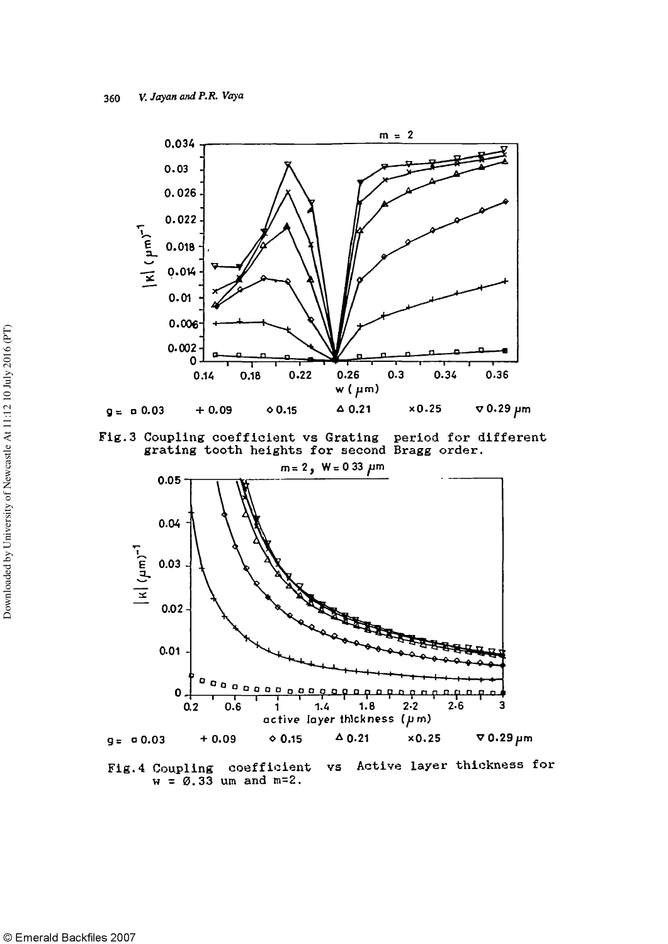

Fig.3 Coupling coefficient vs Grating period for different grating tooth heights for second Bragg order.



Active layer thickness for Fig. 4 Coupling coefficient VS  $w = \emptyset$ .33 um and m=2.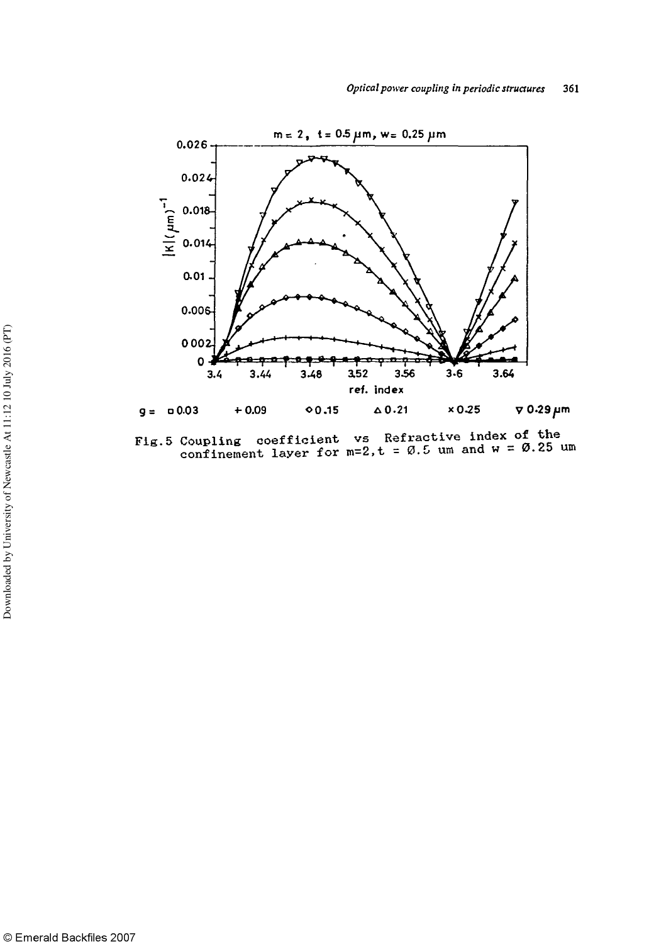

Fig.5 Coupling coefficient vs Refractive index of the confinement layer for m=2, t =  $0.5$  um and w =  $0.25$  um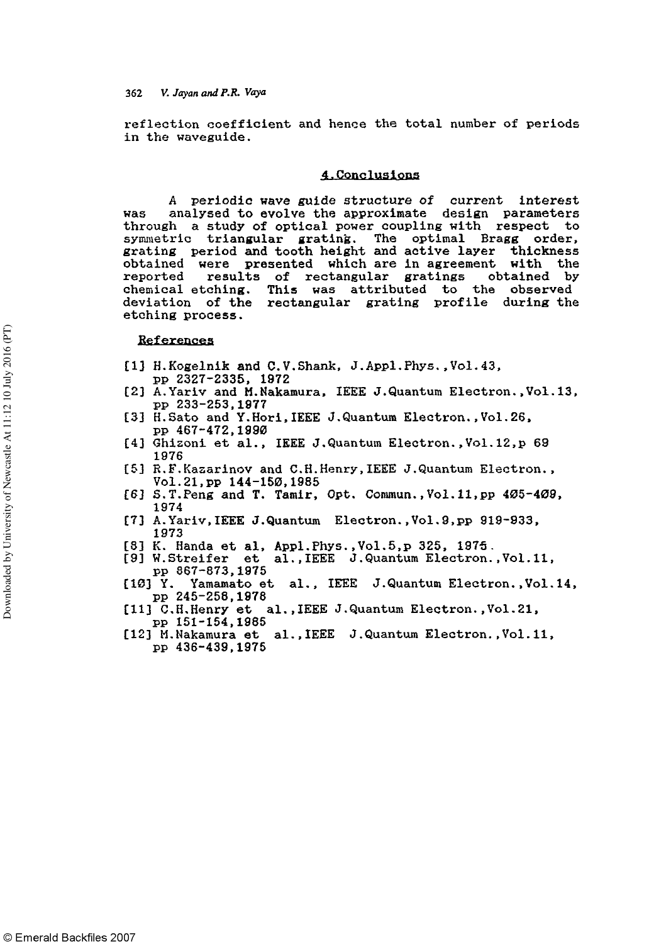reflection coefficient and hence the total number of periods in the waveguide.

#### 4.Conclusions

A periodic wave guide structure of current interest was analysed to evolve the approximate design parameters through a study of optical power coupling with respect to symmetric triangular grating. The optimal Bragg order, grating period and tooth height and active layer thickness obtained were presented which are in agreement with the reported results of rectangular gratings obtained by chemical etching. This was attributed to the observed deviation of the rectangular grating profile during the etching process.

#### References

- [1] H.Kogelnik and C.V.Shank, J.Appl.Phys., Vol. 43,
- pp 2327-2335, 1972
- [2] A.Yariv and M.Nakamura, IEEE J.Quantum Electron., Vol. 13, pp 233-253,1977
- [3] H.Sato and Y.Hori,IEEE J.Quantum Electron., Vol. 26, pp 467-472,1990
- [4] Ghizoni et al., IEEE J.Quantum Electron.,Vol. 12, p 69 1976
- [5] R.F.Kasarinov and C.H.Henry,IEEE J.Quantum Electron., Vol.21,pp 144-150,1985
- [6] S.T.Peng and T. Tamir, Opt. Commun., Vol. 11, pp 405-409, 1974
- [7] A. Yariv, IEEE J. Quantum Electron., Vol. 9, pp 919-933, 1973
- [8] K. Handa et al, Appl.Phys., Vol.5, p 325, 1975.<br>[9] W.Streifer et al., IEEE J.Quantum Electron.
- al., IEEE J. Quantum Electron., Vol. 11, pp 867-873,1975
- [10] Y. Yamamato et al., IEEE J.Quantum Electron., Vol. 14, pp 245-258,1978
- [11] C.H.Henry et al.,IEEE J.Quantum Electron., Vol. 21, pp 151-154,1985
- [12] M.Nakamura et al.,IEEE J.Quantum Electron., Vol. 11, pp 436-439,1975